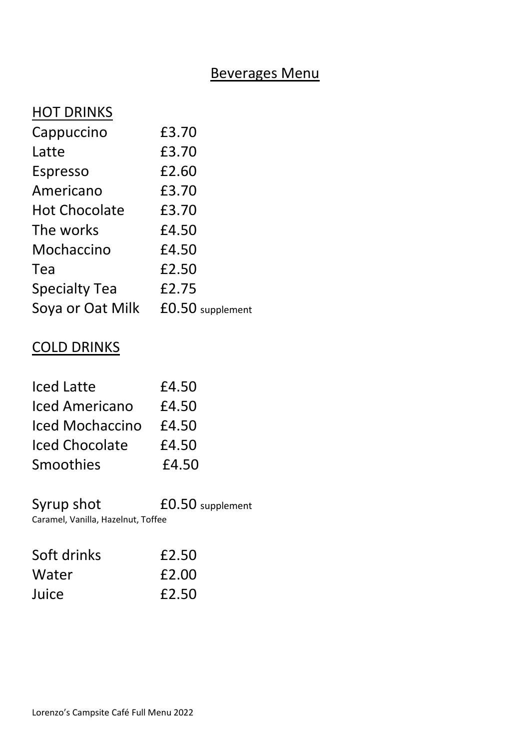## Beverages Menu

## **HOT DRINKS**

| Cappuccino           | £3.70              |
|----------------------|--------------------|
| Latte                | £3.70              |
| <b>Espresso</b>      | £2.60              |
| Americano            | £3.70              |
| <b>Hot Chocolate</b> | £3.70              |
| The works            | £4.50              |
| Mochaccino           | £4.50              |
| Tea                  | £2.50              |
| <b>Specialty Tea</b> | £2.75              |
| Soya or Oat Milk     | $£0.50$ supplement |

## COLD DRINKS

| <b>Iced Latte</b>     | £4.50 |
|-----------------------|-------|
| <b>Iced Americano</b> | £4.50 |
| Iced Mochaccino       | £4.50 |
| <b>Iced Chocolate</b> | £4.50 |
| Smoothies             | £4.50 |
|                       |       |

Syrup shot  $£0.50$  supplement

Caramel, Vanilla, Hazelnut, Toffee

| Soft drinks | £2.50 |
|-------------|-------|
| Water       | £2.00 |
| Juice       | £2.50 |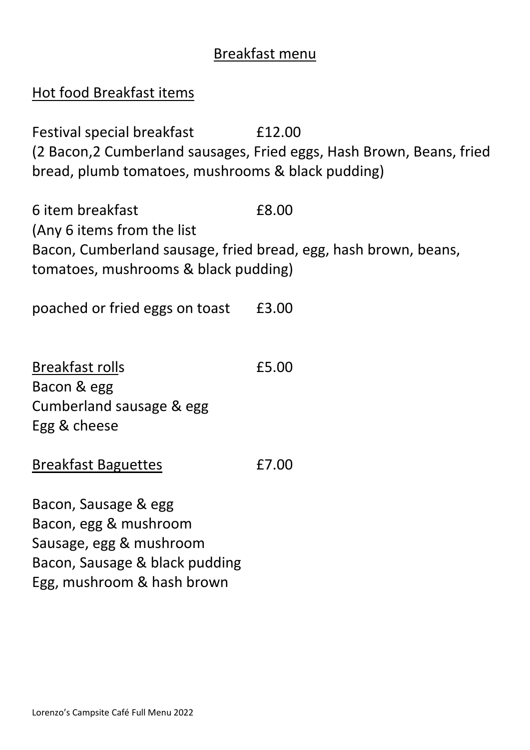# Breakfast menu

| Hot food Breakfast items                                                                                                                                   |                                                                                 |
|------------------------------------------------------------------------------------------------------------------------------------------------------------|---------------------------------------------------------------------------------|
| Festival special breakfast<br>bread, plumb tomatoes, mushrooms & black pudding)                                                                            | £12.00<br>(2 Bacon, 2 Cumberland sausages, Fried eggs, Hash Brown, Beans, fried |
| 6 item breakfast<br>(Any 6 items from the list)<br>Bacon, Cumberland sausage, fried bread, egg, hash brown, beans,<br>tomatoes, mushrooms & black pudding) | £8.00                                                                           |
| poached or fried eggs on toast                                                                                                                             | £3.00                                                                           |
| Breakfast rolls<br>Bacon & egg<br>Cumberland sausage & egg<br>Egg & cheese                                                                                 | £5.00                                                                           |
| <b>Breakfast Baguettes</b>                                                                                                                                 | £7.00                                                                           |
| Bacon, Sausage & egg<br>Bacon, egg & mushroom<br>Sausage, egg & mushroom<br>Bacon, Sausage & black pudding<br>Egg, mushroom & hash brown                   |                                                                                 |